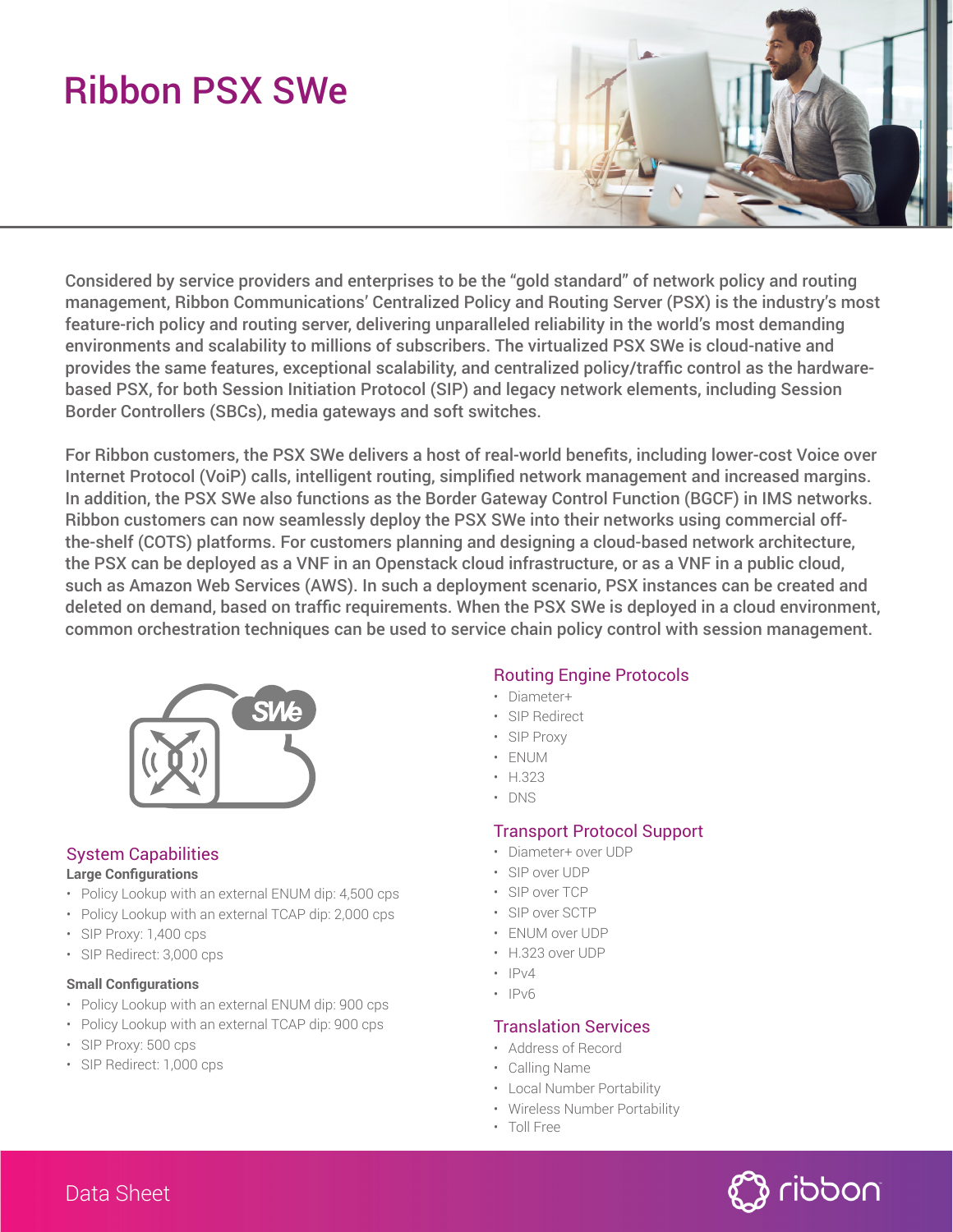# Ribbon PSX SWe



Considered by service providers and enterprises to be the "gold standard" of network policy and routing management, Ribbon Communications' Centralized Policy and Routing Server (PSX) is the industry's most feature-rich policy and routing server, delivering unparalleled reliability in the world's most demanding environments and scalability to millions of subscribers. The virtualized PSX SWe is cloud-native and provides the same features, exceptional scalability, and centralized policy/traffic control as the hardwarebased PSX, for both Session Initiation Protocol (SIP) and legacy network elements, including Session Border Controllers (SBCs), media gateways and soft switches.

For Ribbon customers, the PSX SWe delivers a host of real-world benefits, including lower-cost Voice over Internet Protocol (VoiP) calls, intelligent routing, simplified network management and increased margins. In addition, the PSX SWe also functions as the Border Gateway Control Function (BGCF) in IMS networks. Ribbon customers can now seamlessly deploy the PSX SWe into their networks using commercial offthe-shelf (COTS) platforms. For customers planning and designing a cloud-based network architecture, the PSX can be deployed as a VNF in an Openstack cloud infrastructure, or as a VNF in a public cloud, such as Amazon Web Services (AWS). In such a deployment scenario, PSX instances can be created and deleted on demand, based on traffic requirements. When the PSX SWe is deployed in a cloud environment, common orchestration techniques can be used to service chain policy control with session management.



# System Capabilities

#### **Large Configurations**

- Policy Lookup with an external ENUM dip: 4,500 cps
- Policy Lookup with an external TCAP dip: 2,000 cps
- SIP Proxy: 1,400 cps
- SIP Redirect: 3,000 cps

#### **Small Configurations**

- Policy Lookup with an external ENUM dip: 900 cps
- Policy Lookup with an external TCAP dip: 900 cps
- SIP Proxy: 500 cps
- SIP Redirect: 1,000 cps

# Routing Engine Protocols

- Diameter+
- SIP Redirect
- SIP Proxy
- ENUM
- H.323
- DNS

# Transport Protocol Support

- Diameter+ over UDP
- SIP over UDP
- SIP over TCP
- SIP over SCTP
- ENUM over UDP
- H.323 over UDP
- $\cdot$  IPv4
- IPv6

# Translation Services

- Address of Record
- Calling Name
- Local Number Portability
- Wireless Number Portability
- Toll Free

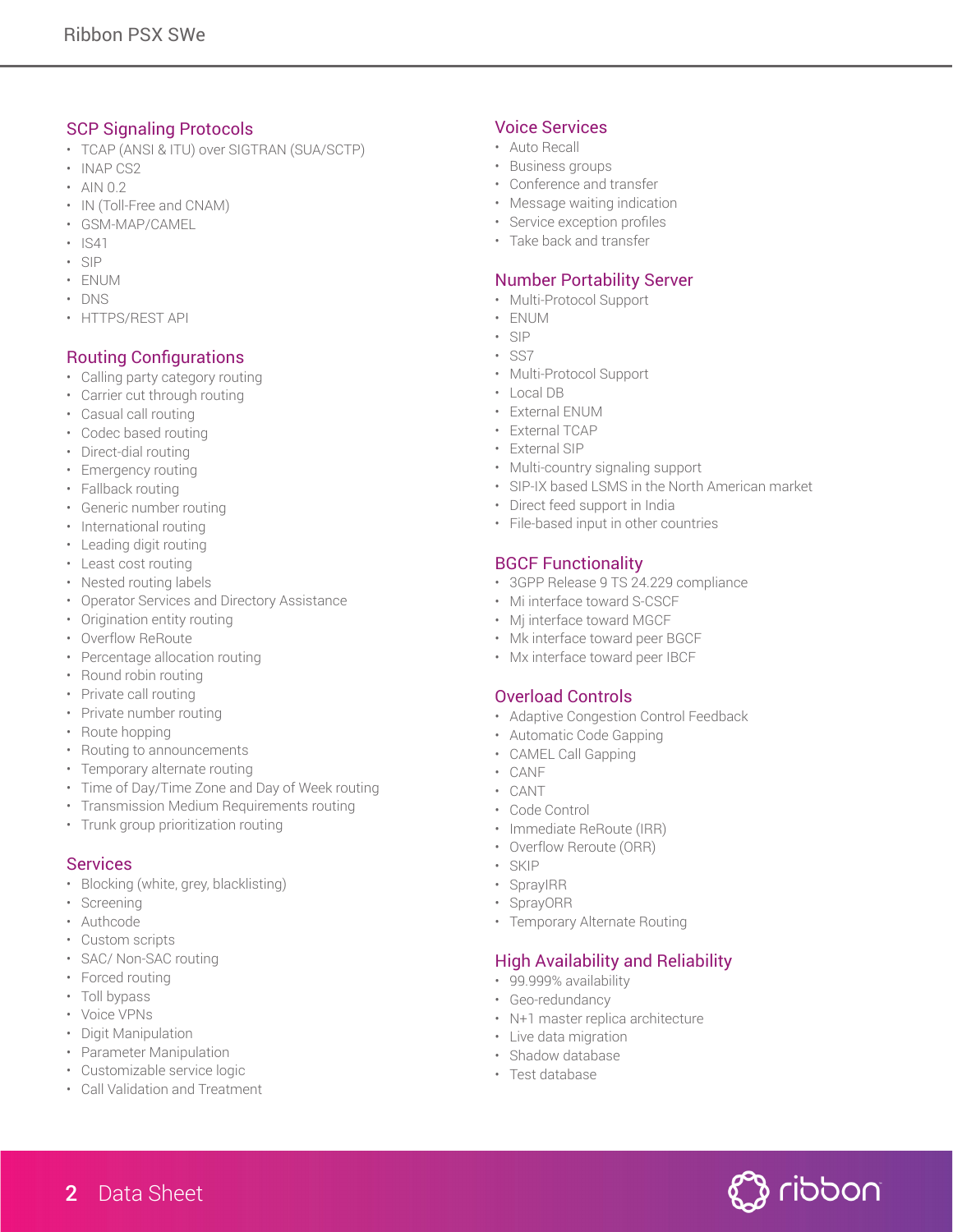## SCP Signaling Protocols

- TCAP (ANSI & ITU) over SIGTRAN (SUA/SCTP)
- INAP CS2
- AIN 0.2
- IN (Toll-Free and CNAM)
- GSM-MAP/CAMEL
- IS41
- SIP
- ENUM
- DNS
- HTTPS/REST API

## Routing Configurations

- Calling party category routing
- Carrier cut through routing
- Casual call routing
- Codec based routing
- Direct-dial routing
- Emergency routing
- Fallback routing
- Generic number routing
- International routing
- Leading digit routing
- Least cost routing
- Nested routing labels
- Operator Services and Directory Assistance
- Origination entity routing
- Overflow ReRoute
- Percentage allocation routing
- Round robin routing
- Private call routing
- Private number routing
- Route hopping
- Routing to announcements
- Temporary alternate routing
- Time of Day/Time Zone and Day of Week routing
- Transmission Medium Requirements routing
- Trunk group prioritization routing

#### **Services**

- Blocking (white, grey, blacklisting)
- Screening
- Authcode
- Custom scripts
- SAC/ Non-SAC routing
- Forced routing
- Toll bypass
- Voice VPNs
- Digit Manipulation
- Parameter Manipulation
- Customizable service logic
- Call Validation and Treatment

#### Voice Services

- Auto Recall
- Business groups
- Conference and transfer
- Message waiting indication
- Service exception profiles
- Take back and transfer

# Number Portability Server

- Multi-Protocol Support
- ENUM
- SIP
- SS7
- Multi-Protocol Support
- Local DB
- External ENUM
- External TCAP
- External SIP
- Multi-country signaling support
- SIP-IX based LSMS in the North American market
- Direct feed support in India
- File-based input in other countries

# BGCF Functionality

- 3GPP Release 9 TS 24.229 compliance
- Mi interface toward S-CSCF
- Mj interface toward MGCF
- Mk interface toward peer BGCF
- Mx interface toward peer IBCF

#### Overload Controls

- Adaptive Congestion Control Feedback
- Automatic Code Gapping
- CAMEL Call Gapping
- CANF
- CANT
- Code Control
- Immediate ReRoute (IRR)
- Overflow Reroute (ORR)
- SKIP
- SprayIRR
- SprayORR
- Temporary Alternate Routing

# High Availability and Reliability

- 99.999% availability
- Geo-redundancy
- N+1 master replica architecture
- Live data migration
- Shadow database
- Test database